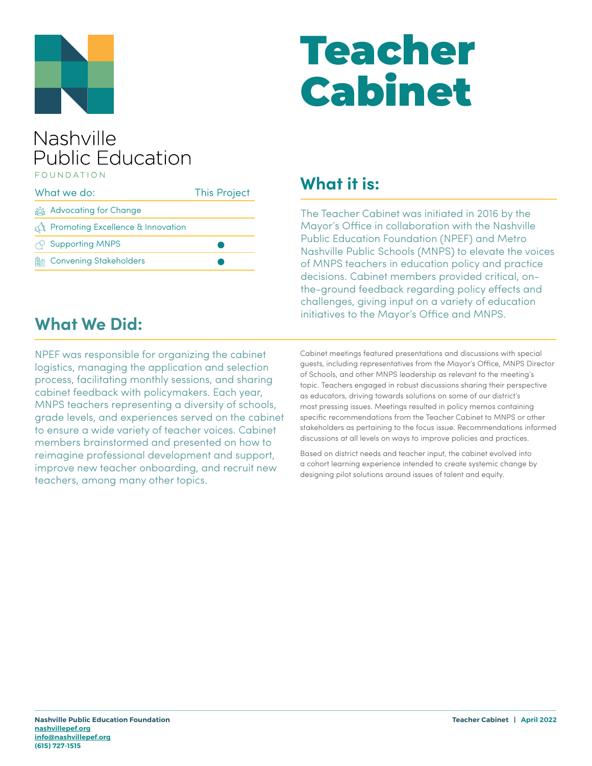

# Teacher Cabinet

#### Nashville **Public Education** FOUNDATION

| What we do: |                                                | <b>This Project</b> |
|-------------|------------------------------------------------|---------------------|
|             | <u>క్రిక్కి</u> Advocating for Change          |                     |
|             | $\mathbb{R}$ Promoting Excellence & Innovation |                     |
|             | $\sqrt{2}$ Supporting MNPS                     |                     |
|             | <b>A</b> Convening Stakeholders                |                     |

### **What it is:**

The Teacher Cabinet was initiated in 2016 by the Mayor's Office in collaboration with the Nashville Public Education Foundation (NPEF) and Metro Nashville Public Schools (MNPS) to elevate the voices of MNPS teachers in education policy and practice decisions. Cabinet members provided critical, onthe-ground feedback regarding policy effects and challenges, giving input on a variety of education initiatives to the Mayor's Office and MNPS.

#### **What We Did:**

NPEF was responsible for organizing the cabinet logistics, managing the application and selection process, facilitating monthly sessions, and sharing cabinet feedback with policymakers. Each year, MNPS teachers representing a diversity of schools, grade levels, and experiences served on the cabinet to ensure a wide variety of teacher voices. Cabinet members brainstormed and presented on how to reimagine professional development and support, improve new teacher onboarding, and recruit new teachers, among many other topics.

Cabinet meetings featured presentations and discussions with special guests, including representatives from the Mayor's Office, MNPS Director of Schools, and other MNPS leadership as relevant to the meeting's topic. Teachers engaged in robust discussions sharing their perspective as educators, driving towards solutions on some of our district's most pressing issues. Meetings resulted in policy memos containing specific recommendations from the Teacher Cabinet to MNPS or other stakeholders as pertaining to the focus issue. Recommendations informed discussions at all levels on ways to improve policies and practices.

Based on district needs and teacher input, the cabinet evolved into a cohort learning experience intended to create systemic change by designing pilot solutions around issues of talent and equity.